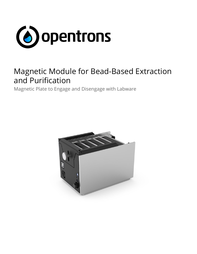

# Magnetic Module for Bead-Based Extraction and Purification

Magnetic Plate to Engage and Disengage with Labware

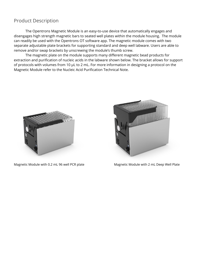#### Product Description

The Opentrons Magnetic Module is an easy-to-use device that automatically engages and disengages high strength magnetic bars to seated well plates within the module housing. The module can readily be used with the Opentrons OT software app. The magnetic module comes with two separate adjustable plate brackets for supporting standard and deep well labware. Users are able to remove and/or swap brackets by unscrewing the module's thumb screw.

The magnetic plate on the module supports many different magnetic bead products for extraction and purification of nucleic acids in the labware shown below. The bracket allows for support of protocols with volumes from 10 µL to 2 mL. For more information in designing a protocol on the Magnetic Module refer to the Nucleic Acid Purification Technical Note.



Magnetic Module with 0.2 mL 96 well PCR plate Music Magnetic Module with 2 mL Deep Well Plate

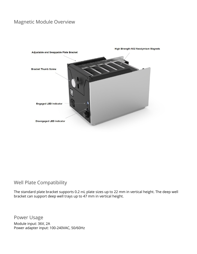### Magnetic Module Overview



**High Strength N52 Neodymium Magnets** 

### Well Plate Compatibility

The standard plate bracket supports 0.2 mL plate sizes up to 22 mm in vertical height. The deep well bracket can support deep well trays up to 47 mm in vertical height.

Power Usage Module input: 36V, 2A Power adapter input: 100-240VAC, 50/60Hz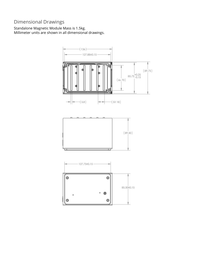## Dimensional Drawings

Standalone Magnetic Module Mass is 1.5kg. Millimeter units are shown in all dimensional drawings.